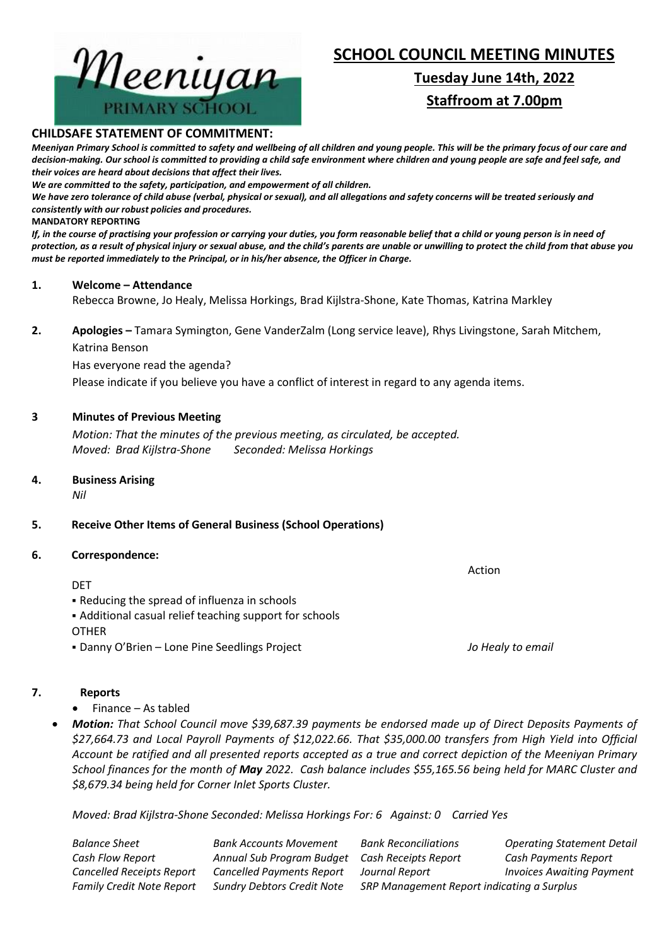

# **SCHOOL COUNCIL MEETING MINUTES**

# **Tuesday June 14th, 2022 Staffroom at 7.00pm**

#### **CHILDSAFE STATEMENT OF COMMITMENT:**

*Meeniyan Primary School is committed to safety and wellbeing of all children and young people. This will be the primary focus of our care and decision-making. Our school is committed to providing a child safe environment where children and young people are safe and feel safe, and their voices are heard about decisions that affect their lives.*

*We are committed to the safety, participation, and empowerment of all children.*

*We have zero tolerance of child abuse (verbal, physical or sexual), and all allegations and safety concerns will be treated seriously and consistently with our robust policies and procedures.*

#### **MANDATORY REPORTING**

*If, in the course of practising your profession or carrying your duties, you form reasonable belief that a child or young person is in need of protection, as a result of physical injury or sexual abuse, and the child's parents are unable or unwilling to protect the child from that abuse you must be reported immediately to the Principal, or in his/her absence, the Officer in Charge.*

#### **1. Welcome – Attendance**

Rebecca Browne, Jo Healy, Melissa Horkings, Brad Kijlstra-Shone, Kate Thomas, Katrina Markley

**2. Apologies –** Tamara Symington, Gene VanderZalm (Long service leave), Rhys Livingstone, Sarah Mitchem, Katrina Benson

Has everyone read the agenda?

Please indicate if you believe you have a conflict of interest in regard to any agenda items.

# **3 Minutes of Previous Meeting**

*Motion: That the minutes of the previous meeting, as circulated, be accepted. Moved: Brad Kijlstra-Shone Seconded: Melissa Horkings*

# **4. Business Arising**

*Nil*

# **5. Receive Other Items of General Business (School Operations)**

#### **6. Correspondence:**

DET

- Reducing the spread of influenza in schools
- Additional casual relief teaching support for schools

**OTHER** 

▪ Danny O'Brien – Lone Pine Seedlings Project *Jo Healy to email*

# **7. Reports**

- Finance As tabled
- *Motion: That School Council move \$39,687.39 payments be endorsed made up of Direct Deposits Payments of \$27,664.73 and Local Payroll Payments of \$12,022.66. That \$35,000.00 transfers from High Yield into Official Account be ratified and all presented reports accepted as a true and correct depiction of the Meeniyan Primary School finances for the month of May 2022. Cash balance includes \$55,165.56 being held for MARC Cluster and \$8,679.34 being held for Corner Inlet Sports Cluster.*

*Moved: Brad Kijlstra-Shone Seconded: Melissa Horkings For: 6 Against: 0 Carried Yes*

*Balance Sheet Bank Accounts Movement Bank Reconciliations Operating Statement Detail Cash Flow Report Annual Sub Program Budget Cash Receipts Report Cash Payments Report Cancelled Receipts Report Cancelled Payments Report Journal Report Invoices Awaiting Payment Family Credit Note Report Sundry Debtors Credit Note SRP Management Report indicating a Surplus*

Action